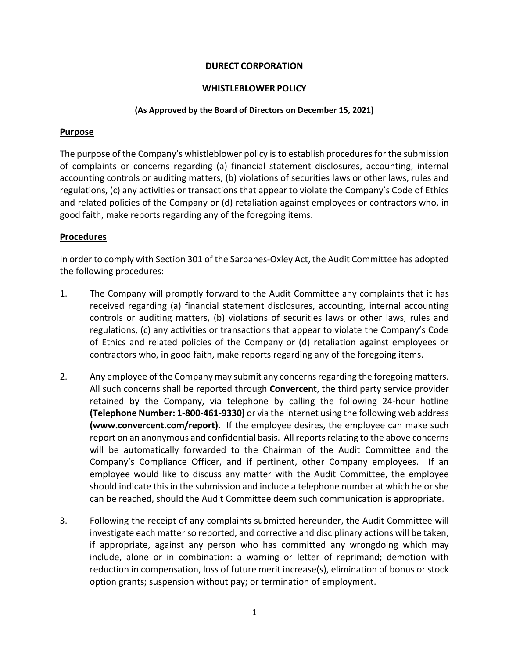# **DURECT CORPORATION**

## **WHISTLEBLOWER POLICY**

#### **(As Approved by the Board of Directors on December 15, 2021)**

### **Purpose**

The purpose of the Company's whistleblower policy is to establish procedures for the submission of complaints or concerns regarding (a) financial statement disclosures, accounting, internal accounting controls or auditing matters, (b) violations of securities laws or other laws, rules and regulations, (c) any activities or transactions that appear to violate the Company's Code of Ethics and related policies of the Company or (d) retaliation against employees or contractors who, in good faith, make reports regarding any of the foregoing items.

## **Procedures**

In order to comply with Section 301 of the Sarbanes-Oxley Act, the Audit Committee has adopted the following procedures:

- 1. The Company will promptly forward to the Audit Committee any complaints that it has received regarding (a) financial statement disclosures, accounting, internal accounting controls or auditing matters, (b) violations of securities laws or other laws, rules and regulations, (c) any activities or transactions that appear to violate the Company's Code of Ethics and related policies of the Company or (d) retaliation against employees or contractors who, in good faith, make reports regarding any of the foregoing items.
- 2. Any employee of the Company may submit any concerns regarding the foregoing matters. All such concerns shall be reported through **Convercent**, the third party service provider retained by the Company, via telephone by calling the following 24-hour hotline **(Telephone Number: 1-800-461-9330)** or via the internet using the following web address **[\(www.convercent.com/report\)](http://www.convercent.com/report)**. If the employee desires, the employee can make such report on an anonymous and confidential basis. All reports relating to the above concerns will be automatically forwarded to the Chairman of the Audit Committee and the Company's Compliance Officer, and if pertinent, other Company employees. If an employee would like to discuss any matter with the Audit Committee, the employee should indicate this in the submission and include a telephone number at which he or she can be reached, should the Audit Committee deem such communication is appropriate.
- 3. Following the receipt of any complaints submitted hereunder, the Audit Committee will investigate each matter so reported, and corrective and disciplinary actions will be taken, if appropriate, against any person who has committed any wrongdoing which may include, alone or in combination: a warning or letter of reprimand; demotion with reduction in compensation, loss of future merit increase(s), elimination of bonus or stock option grants; suspension without pay; or termination of employment.